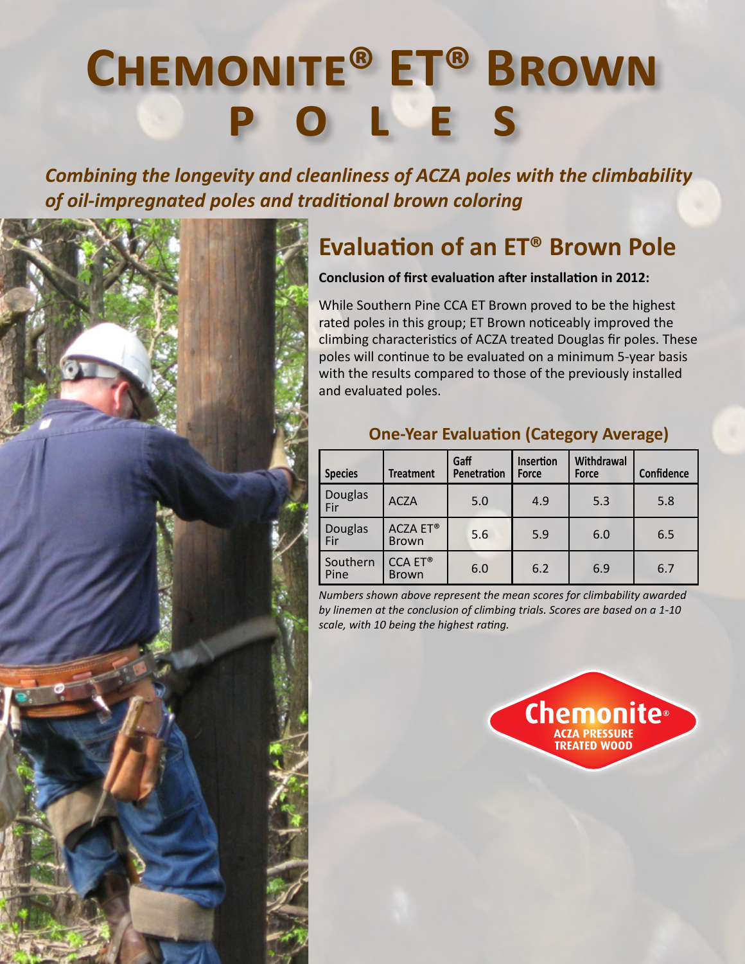## **Chemonite® ET® Brown poles**

*Combining the longevity and cleanliness of ACZA poles with the climbability of oil-impregnated poles and traditional brown coloring*



## **Evaluation of an ET® Brown Pole**

**Conclusion of first evaluation after installation in 2012:**

While Southern Pine CCA ET Brown proved to be the highest rated poles in this group; ET Brown noticeably improved the climbing characteristics of ACZA treated Douglas fir poles. These poles will continue to be evaluated on a minimum 5-year basis with the results compared to those of the previously installed and evaluated poles.

| <b>Species</b>        | <b>Treatment</b>                | Gaff<br>Penetration | Insertion<br>Force | Withdrawal<br>Force | <b>Confidence</b> |
|-----------------------|---------------------------------|---------------------|--------------------|---------------------|-------------------|
| <b>Douglas</b><br>Fir | <b>ACZA</b>                     | 5.0                 | 4.9                | 5.3                 | 5.8               |
| <b>Douglas</b><br>Fir | <b>ACZA ET®</b><br><b>Brown</b> | 5.6                 | 5.9                | 6.0                 | 6.5               |
| Southern<br>Pine      | <b>CCA ET®</b><br><b>Brown</b>  | 6.0                 | 6.2                | 6.9                 | 6.7               |

## **One-Year Evaluation (Category Average)**

*Numbers shown above represent the mean scores for climbability awarded by linemen at the conclusion of climbing trials. Scores are based on a 1-10 scale, with 10 being the highest rating.*